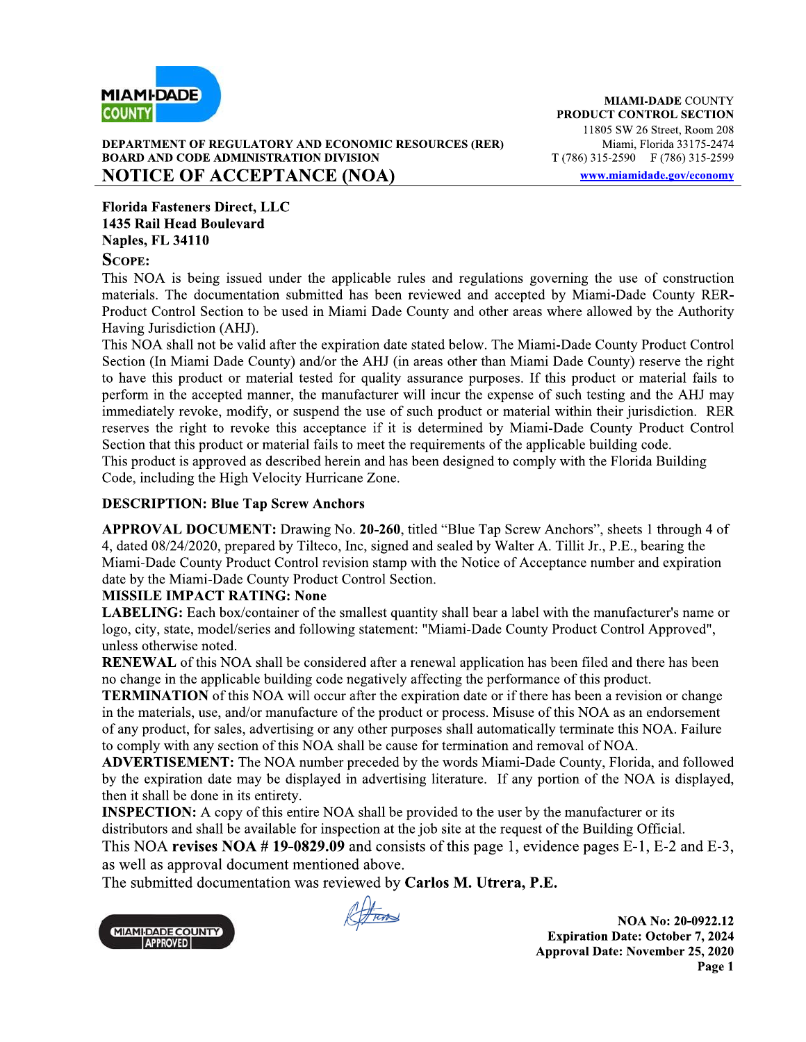

### DEPARTMENT OF REGULATORY AND ECONOMIC RESOURCES (RER) **BOARD AND CODE ADMINISTRATION DIVISION NOTICE OF ACCEPTANCE (NOA)**

**Florida Fasteners Direct, LLC** 1435 Rail Head Boulevard **Naples, FL 34110** 

## **SCOPE:**

This NOA is being issued under the applicable rules and regulations governing the use of construction materials. The documentation submitted has been reviewed and accepted by Miami-Dade County RER-Product Control Section to be used in Miami Dade County and other areas where allowed by the Authority Having Jurisdiction (AHJ).

This NOA shall not be valid after the expiration date stated below. The Miami-Dade County Product Control Section (In Miami Dade County) and/or the AHJ (in areas other than Miami Dade County) reserve the right to have this product or material tested for quality assurance purposes. If this product or material fails to perform in the accepted manner, the manufacturer will incur the expense of such testing and the AHJ may immediately revoke, modify, or suspend the use of such product or material within their jurisdiction. RER reserves the right to revoke this acceptance if it is determined by Miami-Dade County Product Control Section that this product or material fails to meet the requirements of the applicable building code. This product is approved as described herein and has been designed to comply with the Florida Building Code, including the High Velocity Hurricane Zone.

## **DESCRIPTION: Blue Tap Screw Anchors**

APPROVAL DOCUMENT: Drawing No. 20-260, titled "Blue Tap Screw Anchors", sheets 1 through 4 of 4, dated 08/24/2020, prepared by Tilteco, Inc, signed and sealed by Walter A. Tillit Jr., P.E., bearing the Miami-Dade County Product Control revision stamp with the Notice of Acceptance number and expiration date by the Miami-Dade County Product Control Section.

## **MISSILE IMPACT RATING: None**

**LABELING:** Each box/container of the smallest quantity shall bear a label with the manufacturer's name or logo, city, state, model/series and following statement: "Miami-Dade County Product Control Approved", unless otherwise noted.

**RENEWAL** of this NOA shall be considered after a renewal application has been filed and there has been no change in the applicable building code negatively affecting the performance of this product.

**TERMINATION** of this NOA will occur after the expiration date or if there has been a revision or change in the materials, use, and/or manufacture of the product or process. Misuse of this NOA as an endorsement of any product, for sales, advertising or any other purposes shall automatically terminate this NOA. Failure to comply with any section of this NOA shall be cause for termination and removal of NOA.

**ADVERTISEMENT:** The NOA number preceded by the words Miami-Dade County, Florida, and followed by the expiration date may be displayed in advertising literature. If any portion of the NOA is displayed, then it shall be done in its entirety.

**INSPECTION:** A copy of this entire NOA shall be provided to the user by the manufacturer or its distributors and shall be available for inspection at the job site at the request of the Building Official.

This NOA revises NOA  $# 19-0829.09$  and consists of this page 1, evidence pages E-1, E-2 and E-3, as well as approval document mentioned above.

The submitted documentation was reviewed by Carlos M. Utrera, P.E.



Attrad

NOA No: 20-0922.12 **Expiration Date: October 7, 2024 Approval Date: November 25, 2020** Page 1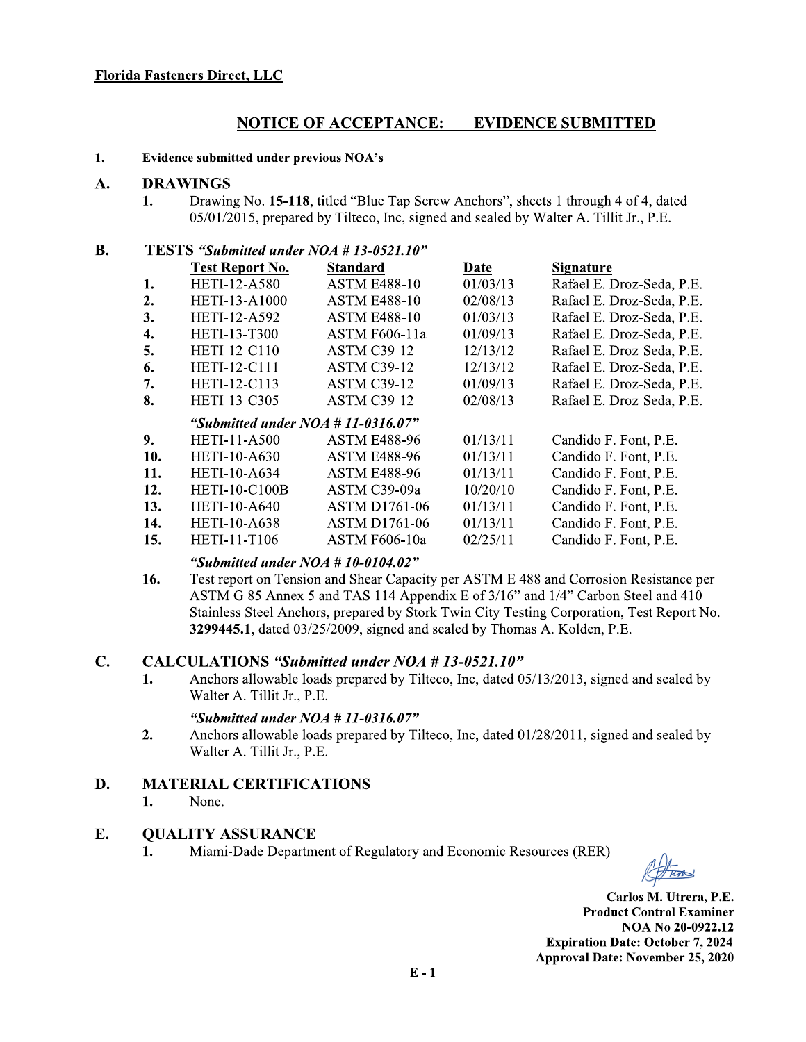### <u>NOTICE OF ACCEPTANCE</u> <u>E: EVIDENCE SUBMITTED</u>

## 1. 1. Evidence submitted under previous NOA's<br>A. DRAWINGS

# **DRAWINGS**<br>1. Drawin

Florida Fasteners Direct, LLC<br>
MOTIC<br>
1. Evidence submitted under<br>
A. DRAWINGS<br>
1. Drawing No. 15-<br>
05/01/2015, prep STERENTIANCE:<br>
MOTICE OF ACCEPTANCE:<br>
Example 10 and 25 and 26 and 26 and 26 and 26.<br>
15-118, titled "Blue Tap Screw And 05/01/2015, prepared by Tilteco, Inc, signed and<br>
ESTS "Submitted under NOA # 13-0521.10"<br>
Test Repor Drawing No. 15-118, titled "Blue Tap Screw Anchors", sheets 1 through 4 of 4, dated 05/01/2015, prepared by Tilteco, Inc, signed and sealed by Walter A. Tillit Jr., P.E.

## **B.** TESTS "Submitted under  $NOA \# 13-0521.10"$

|     | <b>Test Report No.</b>                | <b>Standard</b>      | Date     | <b>Signature</b>          |
|-----|---------------------------------------|----------------------|----------|---------------------------|
| 1.  | <b>HETI-12-A580</b>                   | <b>ASTM E488-10</b>  | 01/03/13 | Rafael E. Droz-Seda, P.E. |
| 2.  | <b>HETI-13-A1000</b>                  | <b>ASTM E488-10</b>  | 02/08/13 | Rafael E. Droz-Seda, P.E. |
| 3.  | HETI-12-A592                          | <b>ASTM E488-10</b>  | 01/03/13 | Rafael E. Droz-Seda, P.E. |
| 4.  | <b>HETI-13-T300</b>                   | <b>ASTM F606-11a</b> | 01/09/13 | Rafael E. Droz-Seda, P.E. |
| 5.  | <b>HETI-12-C110</b>                   | <b>ASTM C39-12</b>   | 12/13/12 | Rafael E. Droz-Seda, P.E. |
| 6.  | <b>HETI-12-C111</b>                   | <b>ASTM C39-12</b>   | 12/13/12 | Rafael E. Droz-Seda, P.E. |
| 7.  | HETI-12-C113                          | <b>ASTM C39-12</b>   | 01/09/13 | Rafael E. Droz-Seda, P.E. |
| 8.  | <b>HETI-13-C305</b>                   | <b>ASTM C39-12</b>   | 02/08/13 | Rafael E. Droz-Seda, P.E. |
|     |                                       |                      |          |                           |
|     | "Submitted under $NOA \# 11-0316.07"$ |                      |          |                           |
| 9.  | <b>HETI-11-A500</b>                   | <b>ASTM E488-96</b>  | 01/13/11 | Candido F. Font, P.E.     |
| 10. | <b>HETI-10-A630</b>                   | <b>ASTM E488-96</b>  | 01/13/11 | Candido F. Font, P.E.     |
| 11. | <b>HETI-10-A634</b>                   | <b>ASTM E488-96</b>  | 01/13/11 | Candido F. Font, P.E.     |
| 12. | <b>HETI-10-C100B</b>                  | ASTM C39-09a         | 10/20/10 | Candido F. Font, P.E.     |
| 13. | <b>HETI-10-A640</b>                   | <b>ASTM D1761-06</b> | 01/13/11 | Candido F. Font, P.E.     |
| 14. | <b>HETI-10-A638</b>                   | <b>ASTM D1761-06</b> | 01/13/11 | Candido F. Font, P.E.     |
| 15. | HETI-11-T106                          | <b>ASTM F606-10a</b> | 02/25/11 | Candido F. Font, P.E.     |

"Submitted under  $NOA \# 10-0104.02$ "<br>16. Test report on Tension and Shear Capac Test report on Tension and Shear Capacity per ASTM E 488 and Corrosion Resistance per ASTM G 85 Annex 5 and TAS 114 Appendix E of 3/16" and 1/4" Carbon Steel and 410 Stainless Steel Anchors, prepared by Stork Twin City Testing Corporation, Test Report No.  $3299445.1$ , dated  $03/25/2009$ , signed and sealed by Thomas A. Kolden, P.E.

#### $C_{\bullet}$ . CALCULATIONS "Submitted under  $NOA \# 13-0521.10$ "

1. Anchors allowable loads prepared by Tilteco, Inc. dated 05/13/2013, signed and sealed by Walter A. Tillit Jr., P.E. CALCULATIONS "Submitted under NOA #<br>1. Anchors allowable loads prepared by Tiltec<br>Walter A. Tillit Jr., P.E.<br>"Submitted under NOA # 11-0316.07"<br>2. Anchors allowable loads prepared by Tiltec<br>Walter A. Tillit Jr., P.E.<br>MATER

## "Submitted under  $NOA \# II-0316.07"$ <br>2. Anchors allowable loads prepared by Ti

Anchors allowable loads prepared by Tilteco, Inc, dated 01/28/2011, signed and sealed by Walter A. Tillit Jr., P.E.

## D. MATERIAL CERTIFICATIONS

1. None.

#### E. E. QUALITY ASSURANCE

1. Miami-Dade Department of Regulatory and Economic Resources (RER)

 $\mathbf{C}$ arlos M. Utrera, P.E. **Product Control Examiner** NOA No 20-0922.12 **Expiration Date: October 7, 2024** Approval Date: November 25, 2020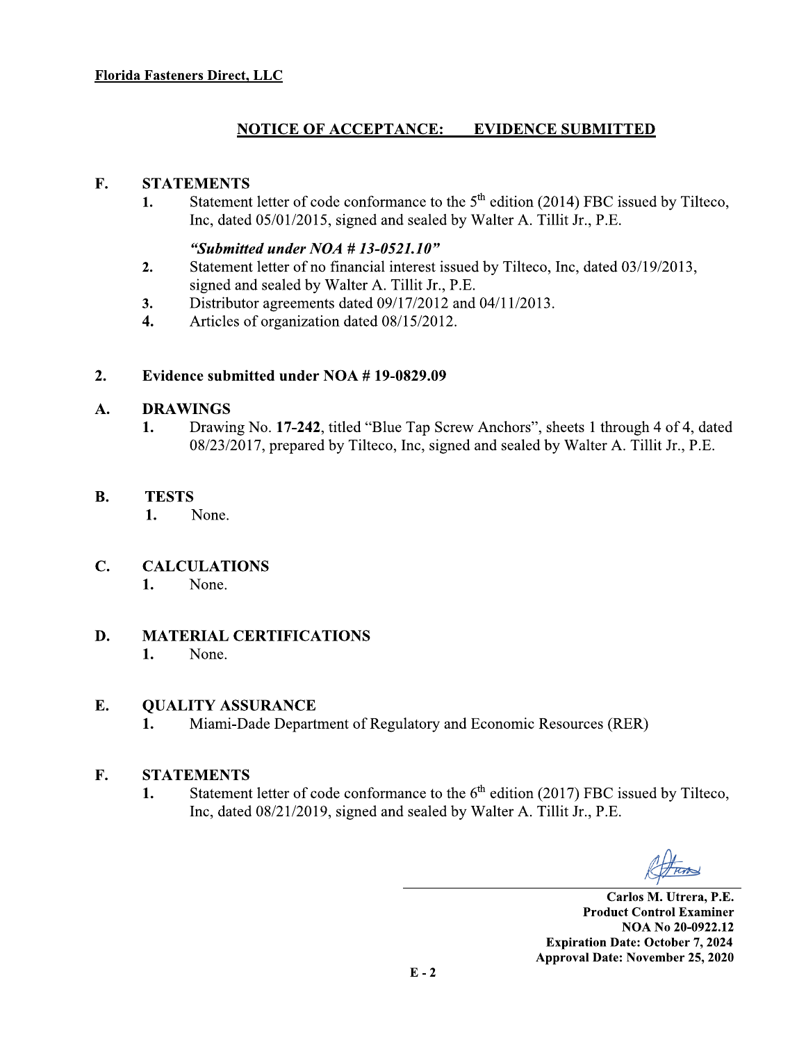#### **NOTICE OF ACCEPTANCE: EVIDENCE SUBMITTED**

#### F. **STATEMENTS**

Statement letter of code conformance to the 5<sup>th</sup> edition (2014) FBC issued by Tilteco, 1. Inc, dated 05/01/2015, signed and sealed by Walter A. Tillit Jr., P.E.

## "Submitted under  $NOA$  # 13-0521.10"

- $2.$ Statement letter of no financial interest issued by Tilteco, Inc, dated 03/19/2013, signed and sealed by Walter A. Tillit Jr., P.E.
- Distributor agreements dated 09/17/2012 and 04/11/2013. 3.
- Articles of organization dated 08/15/2012.  $\overline{4}$ .

#### $2.$ Evidence submitted under NOA #19-0829.09

#### A. **DRAWINGS**

Drawing No. 17-242, titled "Blue Tap Screw Anchors", sheets 1 through 4 of 4, dated 1. 08/23/2017, prepared by Tilteco, Inc, signed and sealed by Walter A. Tillit Jr., P.E.

#### **B. TESTS**

1. None.

#### $\mathbf{C}$ . **CALCULATIONS**

1. None.

#### D. **MATERIAL CERTIFICATIONS**

#### 1. None.

#### E. **QUALITY ASSURANCE**

Miami-Dade Department of Regulatory and Economic Resources (RER) 1.

#### **STATEMENTS** F.

Statement letter of code conformance to the  $6<sup>th</sup>$  edition (2017) FBC issued by Tilteco, 1. Inc, dated 08/21/2019, signed and sealed by Walter A. Tillit Jr., P.E.

Carlos M. Utrera, P.E. **Product Control Examiner** NOA No 20-0922.12 **Expiration Date: October 7, 2024 Approval Date: November 25, 2020**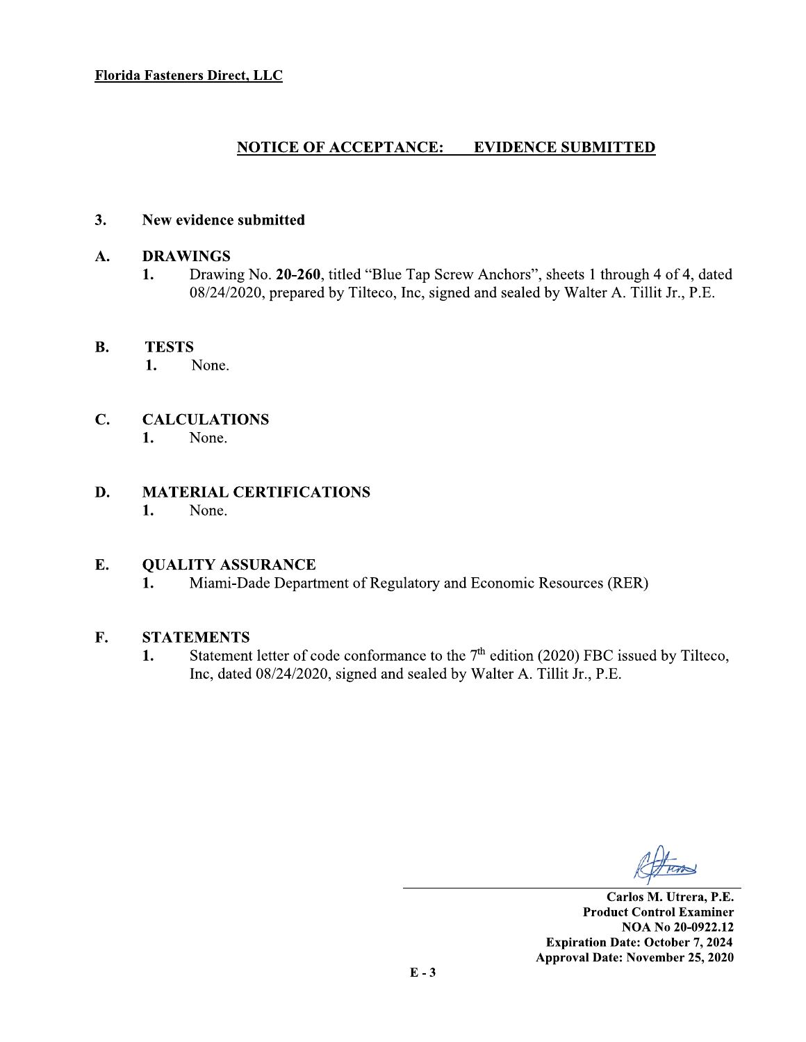#### **NOTICE OF ACCEPTANCE: EVIDENCE SUBMITTED**

#### $3.$ New evidence submitted

#### A. **DRAWINGS**

1. Drawing No. 20-260, titled "Blue Tap Screw Anchors", sheets 1 through 4 of 4, dated 08/24/2020, prepared by Tilteco, Inc, signed and sealed by Walter A. Tillit Jr., P.E.

#### **B. TESTS**

1. None.

#### $\mathbf{C}$ . **CALCULATIONS**

None. 1.

#### D. **MATERIAL CERTIFICATIONS**  $1.$

None.

#### E. **QUALITY ASSURANCE**

1. Miami-Dade Department of Regulatory and Economic Resources (RER)

#### F. **STATEMENTS**

Statement letter of code conformance to the  $7<sup>th</sup>$  edition (2020) FBC issued by Tilteco, 1. Inc, dated 08/24/2020, signed and sealed by Walter A. Tillit Jr., P.E.

Carlos M. Utrera, P.E. **Product Control Examiner** NOA No 20-0922.12 **Expiration Date: October 7, 2024 Approval Date: November 25, 2020**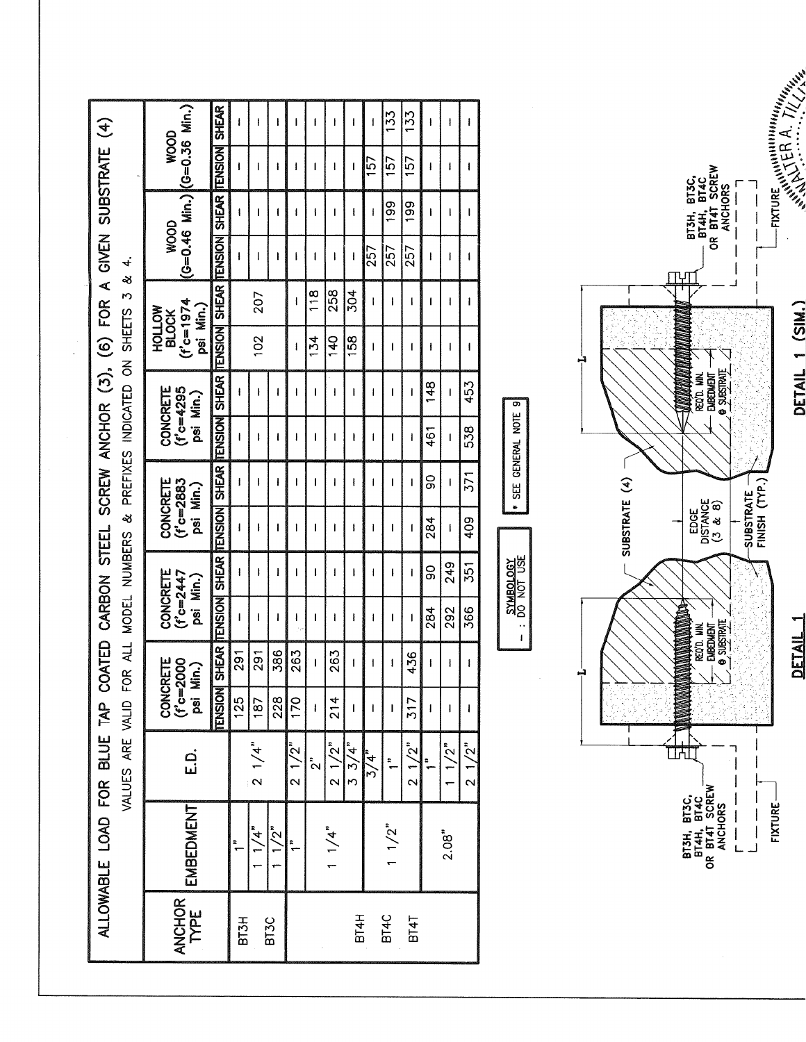| COATED CARBON STEEL SCREW ANCHOR (3), (6) FOR A GIVEN SUBSTRATE (4) |                                                                |
|---------------------------------------------------------------------|----------------------------------------------------------------|
|                                                                     |                                                                |
|                                                                     |                                                                |
|                                                                     |                                                                |
|                                                                     |                                                                |
|                                                                     |                                                                |
|                                                                     |                                                                |
|                                                                     |                                                                |
|                                                                     |                                                                |
|                                                                     | r a r chluit an currachais curriculat a colorais ilean -in col |
|                                                                     |                                                                |
|                                                                     |                                                                |
| <b>PAL INE</b>                                                      | <b>NUS CLITIS</b>                                              |
|                                                                     |                                                                |
| OAD FOR                                                             |                                                                |
| $\frac{1}{2}$                                                       |                                                                |

|                                                               | <b>SIAND</b> | MVVM | <b>AOTIOH</b><br>NO IO | CONCRETE | I CONCRETE | ONCRETE   CONCRETE |  |  |
|---------------------------------------------------------------|--------------|------|------------------------|----------|------------|--------------------|--|--|
| D FOR ALL MODEL NUMBERS & PREFIXES INDICATED ON SHEETS 3 & 4. |              |      |                        |          |            |                    |  |  |

|                                                                  |                             |                  | ŧ               | ł             |                 |                | I                  | I               |              | 133                  | 133          | ł              | ŧ       | ı            |
|------------------------------------------------------------------|-----------------------------|------------------|-----------------|---------------|-----------------|----------------|--------------------|-----------------|--------------|----------------------|--------------|----------------|---------|--------------|
| $(C=0.46$ Min.) $(C=0.36$ Min.)<br>WOOD                          | <b>TENSION SHEAR</b>        | ı                | ı               | ł             | ł               | ı              | I                  | I               | 157          | 157                  | 157          | ł              | ł       | I            |
|                                                                  |                             | ł                | ı               | 1             | ı               | ł              | ı                  | ł               | $\mathbf{I}$ | 199                  | <b>991</b>   | ł              | I       | I            |
| WOOD                                                             | <b>TENSION  SHEAR</b>       | ł                | l               | ı             | ł               | ı              | I                  | I               | 257          | 257                  | 257          | ł              | ł       | ŧ            |
|                                                                  |                             |                  | 207             |               | ŧ               | $\frac{8}{1}$  | 258                | 304             | I            | ł                    | I            | 1              | ı       | ı            |
| $(1^{\circ}c=1974$<br>psi Min.)<br><b>MOTTOH</b><br><b>BLOCK</b> |                             |                  | 102             |               | ł               | 134            | 140                | 158             | I            | ı                    | ı            | ł              | ł       | ł            |
| CONCRETE<br>$(f'c=4295)$<br>psi Min.)                            | TENSION SHEAR TENSION SHEAR | ł                | ł               | 1             | ł               | ı              | ı                  | I               | ı            | 1                    | ı            | 148            |         | 453          |
|                                                                  |                             | ł                | ł               | ł             | ł               | 1              | 1                  | ł               | 1            | 1                    | ł            | 461            | ı       | 538          |
| CONCRETE<br>$(f'c = 2883$<br>psi Min.)                           | <b>TENSION SHEAR</b>        | ł                | ı               | ł             | I               | 1              | I                  | ł               | ı            | ı                    | I            | ဓ္ဌ            | f       | 371          |
|                                                                  |                             | I                | l               | ı             | ł               | 1              | ı                  | ł               | ı            | ı                    | $\mathbf{I}$ | 284            | ı       | 409          |
| CONCRETE                                                         | SHEAR ITENSION SHEAR        | ł                | ł               | ł             | f               | 1              | 1                  | I               | I            | ł                    | ı            | ဝ<br>စ         | 249     | 351          |
| $(f'c=2447$<br>psi Min.)                                         |                             | ł                | 1               | 1             | ł               | ı              | I                  | I               | I            | 1                    | I            | 284            | 292     | 366          |
| CONCRETE<br>(f'c=2000<br>psi Min.)                               |                             | $\overline{291}$ | 291             | 386           | 263             | i              | 263                | I               | 1            | I                    | 436          | l              | ł       | $\mathbf{I}$ |
|                                                                  | <b>TENSION</b>              | 125              | 187             | 228           | $\overline{5}$  | $\mathbf{I}$   | 214                | $\mathsf{I}$    |              | $\mathbf{I}$         | 317          | $\mathbf{I}$   | I       |              |
| <u>ក់</u>                                                        |                             |                  | $2 \frac{1}{4}$ |               | $\frac{2}{1/2}$ | $\mathbf{S}^*$ | $2^{1/2"$          | $3 \frac{3}{4}$ | 3/4          | $\ddot{\phantom{1}}$ | $2^{1/2"$    | $\ddot{\cdot}$ | $1/2$ " | 21/2"        |
| EMBEDMENT                                                        |                             |                  | $\frac{1}{4}$   | $\frac{1}{2}$ |                 |                | 1 / 4 <sup>n</sup> |                 |              | 1/2"                 |              |                | 2.08"   |              |
| ANCHOR                                                           |                             | BT3H             |                 | <b>BT3C</b>   |                 |                |                    | <b>BT4H</b>     |              | <b>BT4C</b>          | <b>BT4T</b>  |                |         |              |



\* SEE GENERAL NOTE 9

JSN LON OG : -

DETAIL 1 (SIM.)

SUBSTRATE

FIXTURE WINDOWN  $\Gamma$  /  $\ell$  /  $\ell$ 

 $\begin{bmatrix} 1 \\ 1 \\ 1 \end{bmatrix}$  $\int$ 

DETAIL 1

FIXTURE- $\frac{1}{\bot}$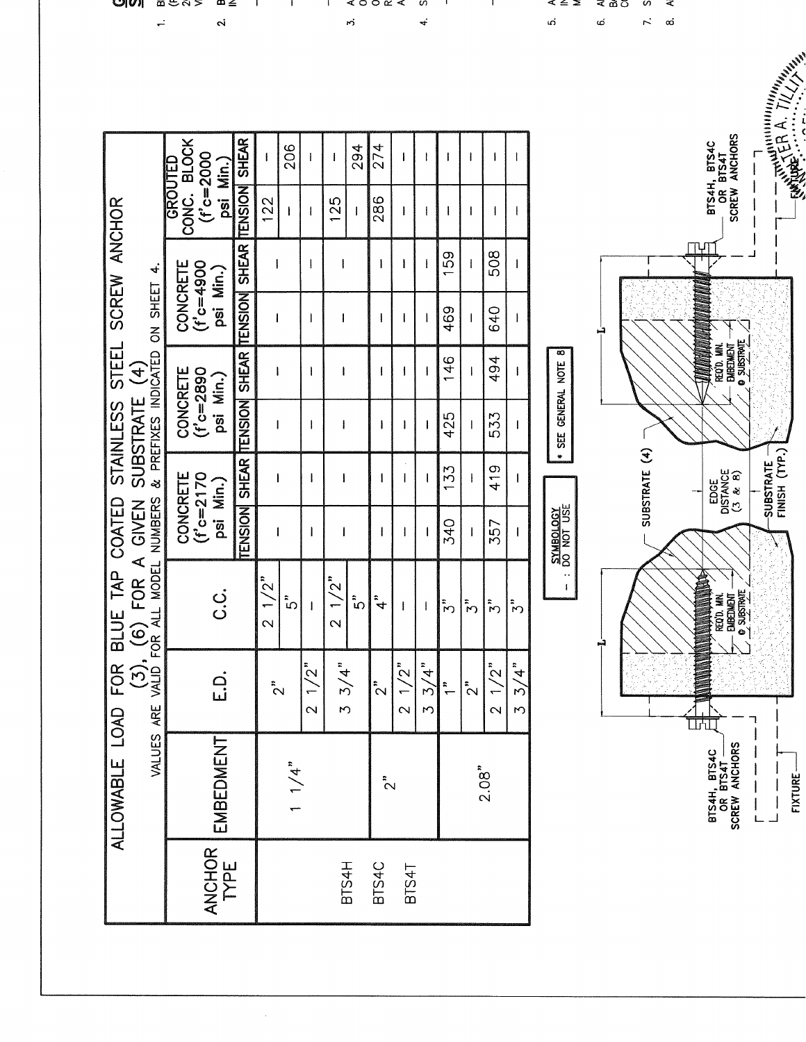| <b>BLOCK</b><br>$(f^{\circ}c = 2000$<br>$\mathbf{I}$<br>$\mathbf{1}$<br>1<br>psi Min.)<br>TENSION<br>CONC.<br>286<br>122<br>125<br>$\pmb{ }$<br>1<br>$\mathbf{I}$<br><sup>1</sup><br>$\mathbf{I}$<br>SHEAR<br>508<br>50<br>$\mathbf{I}$<br>$\mathbf{I}$<br>l<br>CONCRETE<br>$(1^{\circ}c = 4900$<br>ł<br>I<br>psi Min.)<br>TENSION<br>469<br>640<br><b>SHEAR</b><br>œ<br>494<br>146<br>SEE GENERAL NOTE<br>CONCRETE<br>(f'c=2890<br>I<br>1<br>psi Min.)<br>TENSION<br>425<br>533<br>ł<br>ł<br>ł<br>ı<br>×<br><b>SHEAR</b><br>419<br>133<br>CONCRETE<br>(f'c=2170<br>J<br>1<br>$\mathbf{I}$<br>1<br>psi Min.)<br>SYMBOLOGY<br>DO NOT USE<br>TENSION<br><b>340</b><br>357<br>$\mathbf{1}$<br>1<br>$\overline{\phantom{a}}$<br>ł<br><br>$\frac{1}{2}$<br>/2"<br>$\mathbf{I}$<br>ن<br>ن<br>$\ddot{ }$<br>ំៃ<br>ំែ<br>$\ddot{\tilde{z}}$<br>$\ddot{\tilde{z}}$<br>$\tilde{\zeta}^*$<br>↩<br>م:<br>د<br>$\overline{ }$<br>$\mathbf{I}$<br>$\mathbf{I}$<br>$\mathbf{\sim}$<br>$\sim$<br>$1/2^{n}$<br>3/4"<br>1/2"<br>3/4"<br>$1/2$ "<br>$\frac{3}{4}$<br>$\frac{1}{2}$<br>2 <sup>1</sup><br>$\tilde{2}$<br>$\tilde{c}$<br>$\overline{\mathsf{C}}$<br>$\mathcal{L}$<br>$\mathcal{L}$<br>$\overline{\mathbf{C}}$<br>$\overline{\mathsf{C}}$<br>M<br>EMBEDMENT<br>1/4"<br>2.08"<br>$\tilde{c}$ | ب<br>SUBSTRATE (4)<br>ٻ<br>ANCHOR<br>BTS4H<br>BTS4C<br>BTS4T | 4.<br>ON SHEET<br>& PREFIXES INDICATED |         |
|--------------------------------------------------------------------------------------------------------------------------------------------------------------------------------------------------------------------------------------------------------------------------------------------------------------------------------------------------------------------------------------------------------------------------------------------------------------------------------------------------------------------------------------------------------------------------------------------------------------------------------------------------------------------------------------------------------------------------------------------------------------------------------------------------------------------------------------------------------------------------------------------------------------------------------------------------------------------------------------------------------------------------------------------------------------------------------------------------------------------------------------------------------------------------------------------------------------------------------------------------------------------------------------|--------------------------------------------------------------|----------------------------------------|---------|
| 206<br>294<br>274                                                                                                                                                                                                                                                                                                                                                                                                                                                                                                                                                                                                                                                                                                                                                                                                                                                                                                                                                                                                                                                                                                                                                                                                                                                                    |                                                              |                                        | GROUTED |
| <b>SHEAR</b>                                                                                                                                                                                                                                                                                                                                                                                                                                                                                                                                                                                                                                                                                                                                                                                                                                                                                                                                                                                                                                                                                                                                                                                                                                                                         |                                                              |                                        |         |
|                                                                                                                                                                                                                                                                                                                                                                                                                                                                                                                                                                                                                                                                                                                                                                                                                                                                                                                                                                                                                                                                                                                                                                                                                                                                                      |                                                              |                                        |         |
|                                                                                                                                                                                                                                                                                                                                                                                                                                                                                                                                                                                                                                                                                                                                                                                                                                                                                                                                                                                                                                                                                                                                                                                                                                                                                      |                                                              |                                        |         |
|                                                                                                                                                                                                                                                                                                                                                                                                                                                                                                                                                                                                                                                                                                                                                                                                                                                                                                                                                                                                                                                                                                                                                                                                                                                                                      |                                                              |                                        |         |
|                                                                                                                                                                                                                                                                                                                                                                                                                                                                                                                                                                                                                                                                                                                                                                                                                                                                                                                                                                                                                                                                                                                                                                                                                                                                                      |                                                              |                                        |         |
|                                                                                                                                                                                                                                                                                                                                                                                                                                                                                                                                                                                                                                                                                                                                                                                                                                                                                                                                                                                                                                                                                                                                                                                                                                                                                      |                                                              |                                        |         |
|                                                                                                                                                                                                                                                                                                                                                                                                                                                                                                                                                                                                                                                                                                                                                                                                                                                                                                                                                                                                                                                                                                                                                                                                                                                                                      |                                                              |                                        |         |
|                                                                                                                                                                                                                                                                                                                                                                                                                                                                                                                                                                                                                                                                                                                                                                                                                                                                                                                                                                                                                                                                                                                                                                                                                                                                                      |                                                              |                                        |         |
|                                                                                                                                                                                                                                                                                                                                                                                                                                                                                                                                                                                                                                                                                                                                                                                                                                                                                                                                                                                                                                                                                                                                                                                                                                                                                      |                                                              |                                        |         |
|                                                                                                                                                                                                                                                                                                                                                                                                                                                                                                                                                                                                                                                                                                                                                                                                                                                                                                                                                                                                                                                                                                                                                                                                                                                                                      |                                                              |                                        |         |
|                                                                                                                                                                                                                                                                                                                                                                                                                                                                                                                                                                                                                                                                                                                                                                                                                                                                                                                                                                                                                                                                                                                                                                                                                                                                                      |                                                              |                                        |         |
|                                                                                                                                                                                                                                                                                                                                                                                                                                                                                                                                                                                                                                                                                                                                                                                                                                                                                                                                                                                                                                                                                                                                                                                                                                                                                      |                                                              |                                        |         |
|                                                                                                                                                                                                                                                                                                                                                                                                                                                                                                                                                                                                                                                                                                                                                                                                                                                                                                                                                                                                                                                                                                                                                                                                                                                                                      |                                                              |                                        |         |
|                                                                                                                                                                                                                                                                                                                                                                                                                                                                                                                                                                                                                                                                                                                                                                                                                                                                                                                                                                                                                                                                                                                                                                                                                                                                                      |                                                              |                                        |         |
|                                                                                                                                                                                                                                                                                                                                                                                                                                                                                                                                                                                                                                                                                                                                                                                                                                                                                                                                                                                                                                                                                                                                                                                                                                                                                      |                                                              |                                        |         |
|                                                                                                                                                                                                                                                                                                                                                                                                                                                                                                                                                                                                                                                                                                                                                                                                                                                                                                                                                                                                                                                                                                                                                                                                                                                                                      |                                                              |                                        |         |
|                                                                                                                                                                                                                                                                                                                                                                                                                                                                                                                                                                                                                                                                                                                                                                                                                                                                                                                                                                                                                                                                                                                                                                                                                                                                                      |                                                              |                                        |         |

ပျပ။  $\overline{\mathbf{a}}$   $\in$   $\overline{\mathbf{a}}$   $>$  $\frac{1}{2}$  $\mathbf{a}$ 

മ ≟  $\mathbf{r}$   $\mathbf{I}$ J.  $\vec{b}$ 

 $\triangle$   $\circ$   $\circ$   $\alpha$   $\triangle$ S  $\mathbf{I}$  $\vec{f}$ 

 $\mathbf{I}$ 

≤ ≤ 2 ⋜ ゐび S  $\mathbf{a}$  $\vec{0}$  $\tilde{\mathcal{N}}$  ⋖

ANGEL A TULIS

 $\Gamma$  $\begin{array}{c} \rule{0pt}{2ex} \rule{0pt}{2ex} \rule{0pt}{2ex} \rule{0pt}{2ex} \rule{0pt}{2ex} \rule{0pt}{2ex} \rule{0pt}{2ex} \rule{0pt}{2ex} \rule{0pt}{2ex} \rule{0pt}{2ex} \rule{0pt}{2ex} \rule{0pt}{2ex} \rule{0pt}{2ex} \rule{0pt}{2ex} \rule{0pt}{2ex} \rule{0pt}{2ex} \rule{0pt}{2ex} \rule{0pt}{2ex} \rule{0pt}{2ex} \rule{0pt}{2ex} \rule{0pt}{2ex} \rule{0pt}{2ex} \rule{0pt}{2ex} \rule{0pt}{$  $\overline{\phantom{a}}$ 

J,

SUBSTRATE

BTS4H, BTS4C<br>--- OR BTS4T<br>SCREW ANCHORS

**ANTIQUE ANN**<br>- Regio, Min.<br>- Enedment -<br>- Dispension -

EDGE<br>DISTANCE<br>(3 & 8)

**BTS4H, BTS4C<br>OR BTS4T<br>SCREW ANCHORS** 

٦  $\mathbf{I}$ 

 $\frac{1}{1}$ 

 $\overline{\phantom{a}}$ 

FIXTURE- $\frac{1}{2}$ 

 $\infty$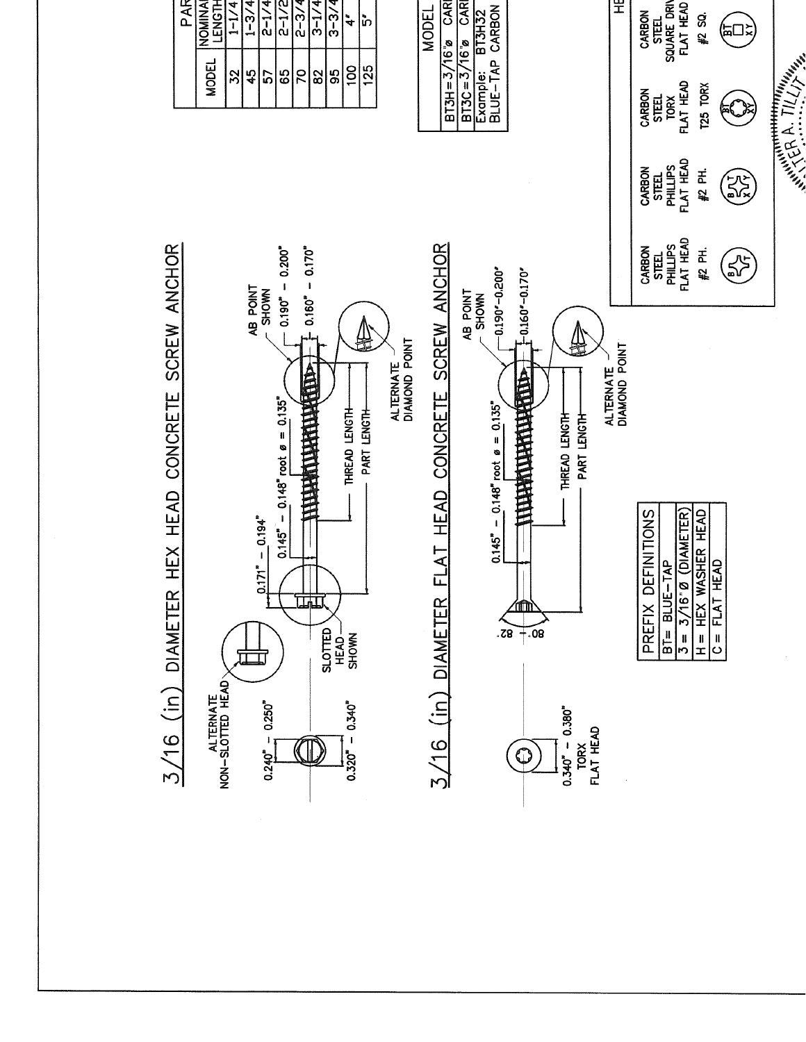